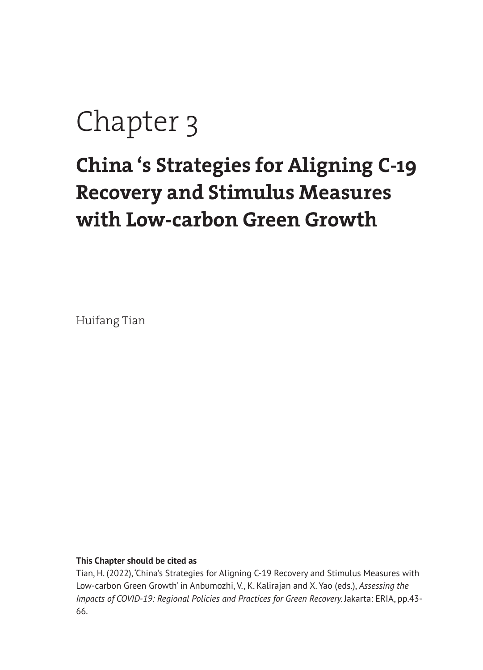# Chapter 3

# **China 's Strategies for Aligning C-19 Recovery and Stimulus Measures with Low-carbon Green Growth**

Huifang Tian

#### **This Chapter should be cited as**

Tian, H. (2022), 'China's Strategies for Aligning C-19 Recovery and Stimulus Measures with Low-carbon Green Growth' in Anbumozhi, V., K. Kalirajan and X. Yao (eds.), *Assessing the Impacts of COVID-19: Regional Policies and Practices for Green Recovery.* Jakarta: ERIA, pp.43- 66.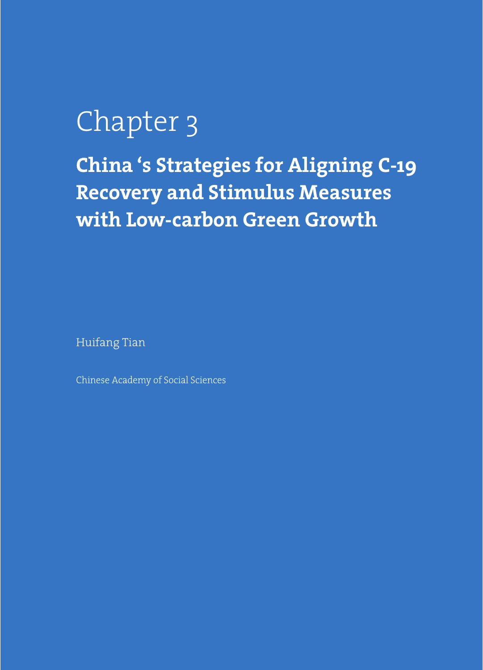# Chapter 3

**China 's Strategies for Aligning C-19 Recovery and Stimulus Measures with Low-carbon Green Growth**

Huifang Tian

Chinese Academy of Social Sciences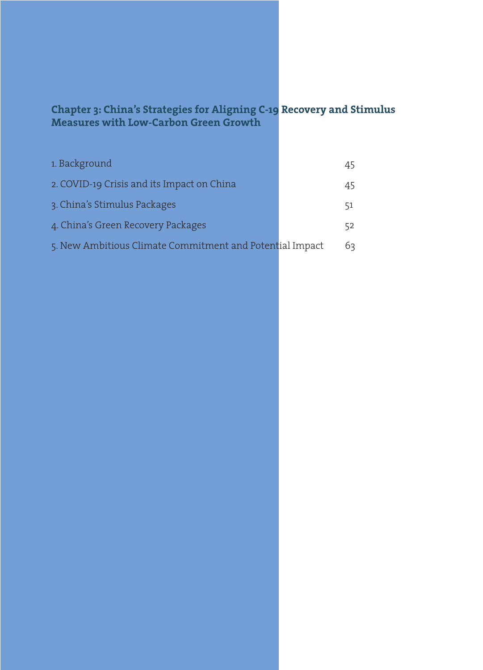# **Chapter 3: China's Strategies for Aligning C-19 Recovery and Stimulus Measures with Low-Carbon Green Growth**

| 1. Background                                            | 45 |
|----------------------------------------------------------|----|
| 2. COVID-19 Crisis and its Impact on China               | 45 |
| 3. China's Stimulus Packages                             | 51 |
| 4. China's Green Recovery Packages                       | 52 |
| 5. New Ambitious Climate Commitment and Potential Impact | 63 |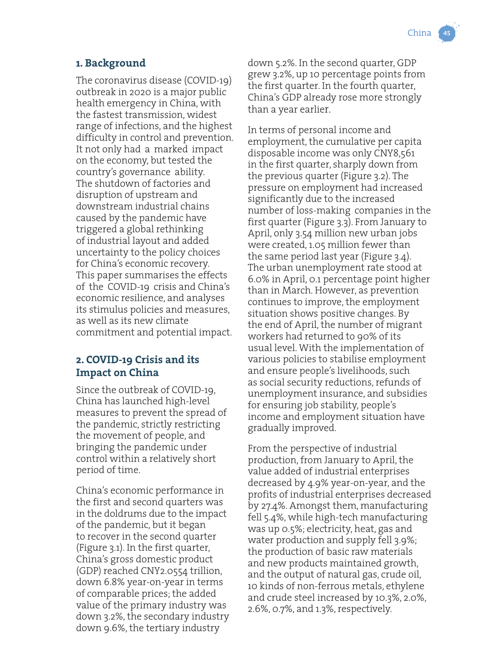# **1. Background**

The coronavirus disease (COVID-19) outbreak in 2020 is a major public health emergency in China, with the fastest transmission, widest range of infections, and the highest difficulty in control and prevention. It not only had a marked impact on the economy, but tested the country's governance ability. The shutdown of factories and disruption of upstream and downstream industrial chains caused by the pandemic have triggered a global rethinking of industrial layout and added uncertainty to the policy choices for China's economic recovery. This paper summarises the effects of the COVID-19 crisis and China's economic resilience, and analyses its stimulus policies and measures, as well as its new climate commitment and potential impact.

# **2. COVID-19 Crisis and its Impact on China**

Since the outbreak of COVID-19, China has launched high-level measures to prevent the spread of the pandemic, strictly restricting the movement of people, and bringing the pandemic under control within a relatively short period of time.

China's economic performance in the first and second quarters was in the doldrums due to the impact of the pandemic, but it began to recover in the second quarter (Figure 3.1). In the first quarter, China's gross domestic product (GDP) reached CNY2.0554 trillion, down 6.8% year-on-year in terms of comparable prices; the added value of the primary industry was down 3.2%, the secondary industry down 9.6%, the tertiary industry

down 5.2%. In the second quarter, GDP grew 3.2%, up 10 percentage points from the first quarter. In the fourth quarter, China's GDP already rose more strongly than a year earlier.

In terms of personal income and employment, the cumulative per capita disposable income was only CNY8,561 in the first quarter, sharply down from the previous quarter (Figure 3.2). The pressure on employment had increased significantly due to the increased number of loss-making companies in the first quarter (Figure 3.3). From January to April, only 3.54 million new urban jobs were created, 1.05 million fewer than the same period last year (Figure 3.4). The urban unemployment rate stood at 6.0% in April, 0.1 percentage point higher than in March. However, as prevention continues to improve, the employment situation shows positive changes. By the end of April, the number of migrant workers had returned to 90% of its usual level. With the implementation of various policies to stabilise employment and ensure people's livelihoods, such as social security reductions, refunds of unemployment insurance, and subsidies for ensuring job stability, people's income and employment situation have gradually improved.

From the perspective of industrial production, from January to April, the value added of industrial enterprises decreased by 4.9% year-on-year, and the profits of industrial enterprises decreased by 27.4%. Amongst them, manufacturing fell 5.4%, while high-tech manufacturing was up 0.5%; electricity, heat, gas and water production and supply fell 3.9%; the production of basic raw materials and new products maintained growth, and the output of natural gas, crude oil, 10 kinds of non-ferrous metals, ethylene and crude steel increased by 10.3%, 2.0%, 2.6%, 0.7%, and 1.3%, respectively.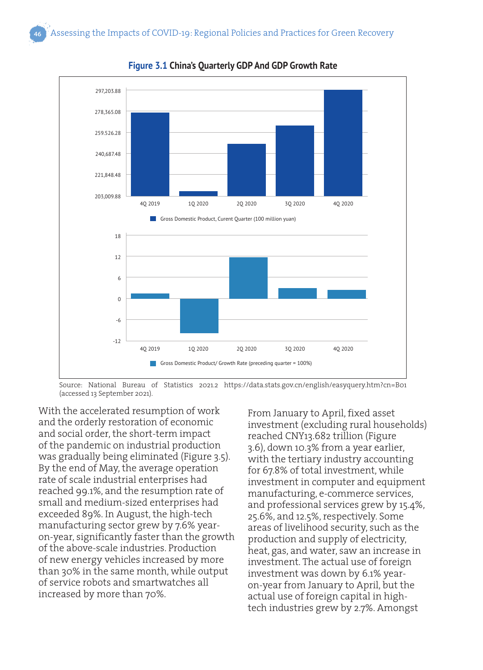

**Figure 3.1 China's Quarterly GDP And GDP Growth Rate** 

With the accelerated resumption of work and the orderly restoration of economic and social order, the short-term impact of the pandemic on industrial production was gradually being eliminated (Figure 3.5). By the end of May, the average operation rate of scale industrial enterprises had reached 99.1%, and the resumption rate of small and medium-sized enterprises had exceeded 89%. In August, the high-tech manufacturing sector grew by 7.6% yearon-year, significantly faster than the growth of the above-scale industries. Production of new energy vehicles increased by more than 30% in the same month, while output of service robots and smartwatches all increased by more than 70%.

From January to April, fixed asset investment (excluding rural households) reached CNY13.682 trillion (Figure 3.6), down 10.3% from a year earlier, with the tertiary industry accounting for 67.8% of total investment, while investment in computer and equipment manufacturing, e-commerce services, and professional services grew by 15.4%, 25.6%, and 12.5%, respectively. Some areas of livelihood security, such as the production and supply of electricity, heat, gas, and water, saw an increase in investment. The actual use of foreign investment was down by 6.1% yearon-year from January to April, but the actual use of foreign capital in hightech industries grew by 2.7%. Amongst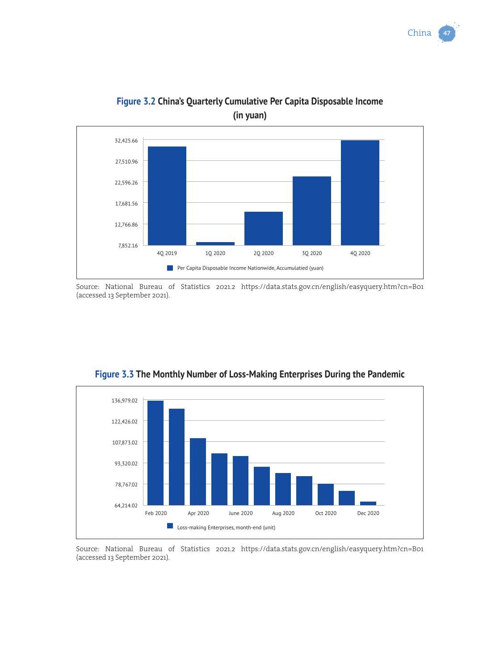

**Figure 3.2 China's Quarterly Cumulative Per Capita Disposable Income (in yuan)**



**Figure 3.3 The Monthly Number of Loss-Making Enterprises During the Pandemic**

Source: National Bureau of Statistics 2021.2 https://data.stats.gov.cn/english/easyquery.htm?cn=B01 (accessed 13 September 2021).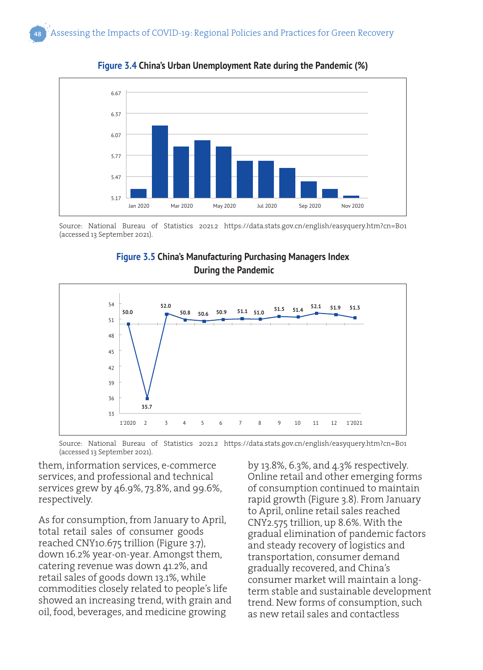

**Figure 3.4 China's Urban Unemployment Rate during the Pandemic (%)**





Source: National Bureau of Statistics 2021.2 https://data.stats.gov.cn/english/easyquery.htm?cn=B01 (accessed 13 September 2021).

them, information services, e-commerce services, and professional and technical services grew by 46.9%, 73.8%, and 99.6%, respectively.

As for consumption, from January to April, total retail sales of consumer goods reached CNY10.675 trillion (Figure 3.7), down 16.2% year-on-year. Amongst them, catering revenue was down 41.2%, and retail sales of goods down 13.1%, while commodities closely related to people's life showed an increasing trend, with grain and oil, food, beverages, and medicine growing

by 13.8%, 6.3%, and 4.3% respectively. Online retail and other emerging forms of consumption continued to maintain rapid growth (Figure 3.8). From January to April, online retail sales reached CNY2.575 trillion, up 8.6%. With the gradual elimination of pandemic factors and steady recovery of logistics and transportation, consumer demand gradually recovered, and China's consumer market will maintain a longterm stable and sustainable development trend. New forms of consumption, such as new retail sales and contactless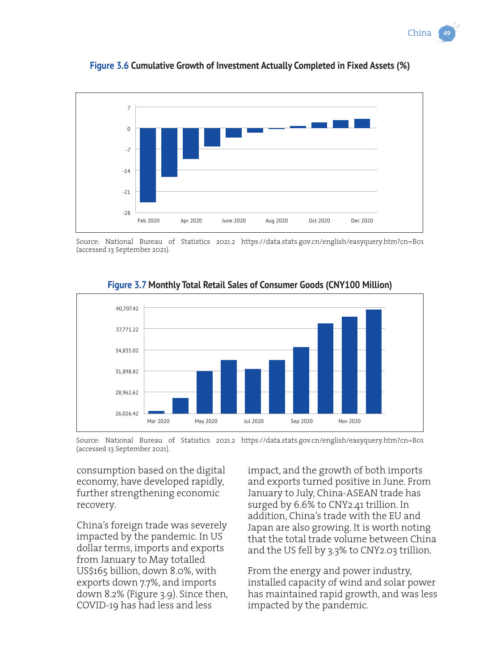China



**Figure 3.6 Cumulative Growth of Investment Actually Completed in Fixed Assets (%)**

Source: National Bureau of Statistics 2021.2 https://data.stats.gov.cn/english/easyquery.htm?cn=B01 (accessed 13 September 2021).



**Figure 3.7 Monthly Total Retail Sales of Consumer Goods (CNY100 Million)**

Source: National Bureau of Statistics 2021.2 https://data.stats.gov.cn/english/easyquery.htm?cn=B01 (accessed 13 September 2021).

consumption based on the digital economy, have developed rapidly, further strengthening economic recovery.

China's foreign trade was severely impacted by the pandemic. In US dollar terms, imports and exports from January to May totalled US\$165 billion, down 8.0%, with exports down 7.7%, and imports down 8.2% (Figure 3.9). Since then, COVID-19 has had less and less

impact, and the growth of both imports and exports turned positive in June. From January to July, China-ASEAN trade has surged by 6.6% to CNY2.41 trillion. In addition, China's trade with the EU and Japan are also growing. It is worth noting that the total trade volume between China and the US fell by 3.3% to CNY2.03 trillion.

From the energy and power industry, installed capacity of wind and solar power has maintained rapid growth, and was less impacted by the pandemic.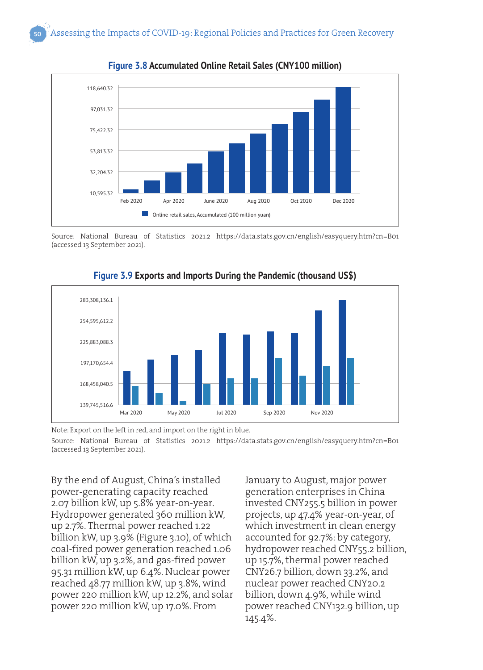

**Figure 3.8 Accumulated Online Retail Sales (CNY100 million)**



**Figure 3.9 Exports and Imports During the Pandemic (thousand US\$)**

Note: Export on the left in red, and import on the right in blue.

Source: National Bureau of Statistics 2021.2 https://data.stats.gov.cn/english/easyquery.htm?cn=B01 (accessed 13 September 2021).

By the end of August, China's installed power-generating capacity reached 2.07 billion kW, up 5.8% year-on-year. Hydropower generated 360 million kW, up 2.7%. Thermal power reached 1.22 billion kW, up 3.9% (Figure 3.10), of which coal-fired power generation reached 1.06 billion kW, up 3.2%, and gas-fired power 95.31 million kW, up 6.4%. Nuclear power reached 48.77 million kW, up 3.8%, wind power 220 million kW, up 12.2%, and solar power 220 million kW, up 17.0%. From

January to August, major power generation enterprises in China invested CNY255.5 billion in power projects, up 47.4% year-on-year, of which investment in clean energy accounted for 92.7%: by category, hydropower reached CNY55.2 billion, up 15.7%, thermal power reached CNY26.7 billion, down 33.2%, and nuclear power reached CNY20.2 billion, down 4.9%, while wind power reached CNY132.9 billion, up 145.4%.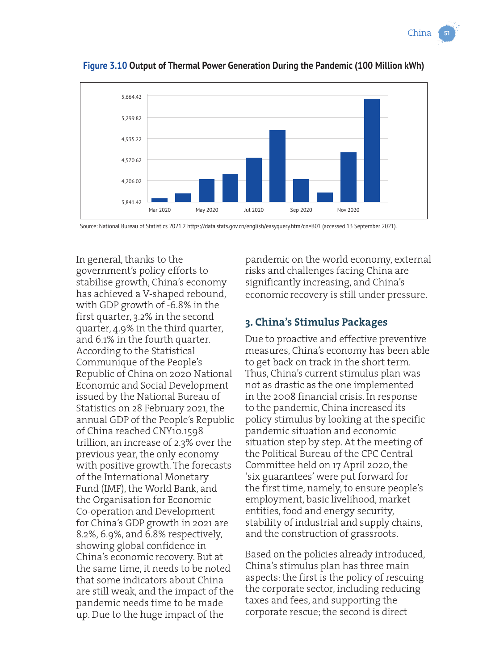

**Figure 3.10 Output of Thermal Power Generation During the Pandemic (100 Million kWh)**

In general, thanks to the government's policy efforts to stabilise growth, China's economy has achieved a V-shaped rebound, with GDP growth of -6.8% in the first quarter, 3.2% in the second quarter, 4.9% in the third quarter, and 6.1% in the fourth quarter. According to the Statistical Communique of the People's Republic of China on 2020 National Economic and Social Development issued by the National Bureau of Statistics on 28 February 2021, the annual GDP of the People's Republic of China reached CNY10.1598 trillion, an increase of 2.3% over the previous year, the only economy with positive growth. The forecasts of the International Monetary Fund (IMF), the World Bank, and the Organisation for Economic Co-operation and Development for China's GDP growth in 2021 are 8.2%, 6.9%, and 6.8% respectively, showing global confidence in China's economic recovery. But at the same time, it needs to be noted that some indicators about China are still weak, and the impact of the pandemic needs time to be made up. Due to the huge impact of the

pandemic on the world economy, external risks and challenges facing China are significantly increasing, and China's economic recovery is still under pressure.

# **3. China's Stimulus Packages**

Due to proactive and effective preventive measures, China's economy has been able to get back on track in the short term. Thus, China's current stimulus plan was not as drastic as the one implemented in the 2008 financial crisis. In response to the pandemic, China increased its policy stimulus by looking at the specific pandemic situation and economic situation step by step. At the meeting of the Political Bureau of the CPC Central Committee held on 17 April 2020, the 'six guarantees' were put forward for the first time, namely, to ensure people's employment, basic livelihood, market entities, food and energy security, stability of industrial and supply chains, and the construction of grassroots.

Based on the policies already introduced, China's stimulus plan has three main aspects: the first is the policy of rescuing the corporate sector, including reducing taxes and fees, and supporting the corporate rescue; the second is direct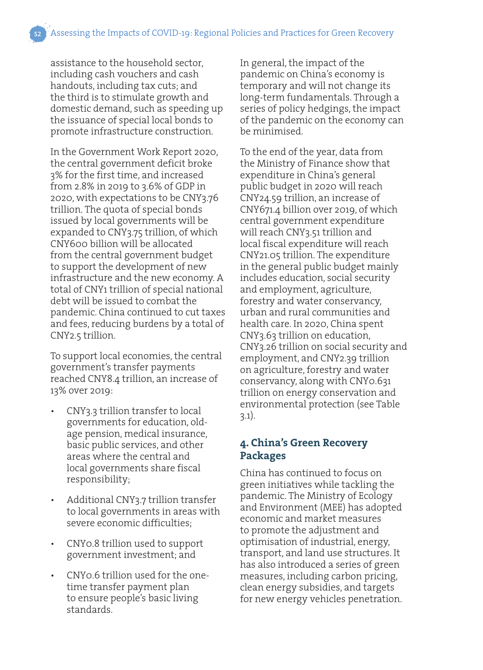assistance to the household sector, including cash vouchers and cash handouts, including tax cuts; and the third is to stimulate growth and domestic demand, such as speeding up the issuance of special local bonds to promote infrastructure construction.

In the Government Work Report 2020, the central government deficit broke 3% for the first time, and increased from 2.8% in 2019 to 3.6% of GDP in 2020, with expectations to be CNY3.76 trillion. The quota of special bonds issued by local governments will be expanded to CNY3.75 trillion, of which CNY600 billion will be allocated from the central government budget to support the development of new infrastructure and the new economy. A total of CNY1 trillion of special national debt will be issued to combat the pandemic. China continued to cut taxes and fees, reducing burdens by a total of CNY2.5 trillion.

To support local economies, the central government's transfer payments reached CNY8.4 trillion, an increase of 13% over 2019:

- CNY3.3 trillion transfer to local governments for education, oldage pension, medical insurance, basic public services, and other areas where the central and local governments share fiscal responsibility;
- Additional CNY3.7 trillion transfer to local governments in areas with severe economic difficulties;
- CNY0.8 trillion used to support government investment; and
- CNY0.6 trillion used for the onetime transfer payment plan to ensure people's basic living standards.

In general, the impact of the pandemic on China's economy is temporary and will not change its long-term fundamentals. Through a series of policy hedgings, the impact of the pandemic on the economy can be minimised.

To the end of the year, data from the Ministry of Finance show that expenditure in China's general public budget in 2020 will reach CNY24.59 trillion, an increase of CNY671.4 billion over 2019, of which central government expenditure will reach CNY3.51 trillion and local fiscal expenditure will reach CNY21.05 trillion. The expenditure in the general public budget mainly includes education, social security and employment, agriculture, forestry and water conservancy, urban and rural communities and health care. In 2020, China spent CNY3.63 trillion on education, CNY3.26 trillion on social security and employment, and CNY2.39 trillion on agriculture, forestry and water conservancy, along with CNY0.631 trillion on energy conservation and environmental protection (see Table 3.1).

# **4. China's Green Recovery Packages**

China has continued to focus on green initiatives while tackling the pandemic. The Ministry of Ecology and Environment (MEE) has adopted economic and market measures to promote the adjustment and optimisation of industrial, energy, transport, and land use structures. It has also introduced a series of green measures, including carbon pricing, clean energy subsidies, and targets for new energy vehicles penetration.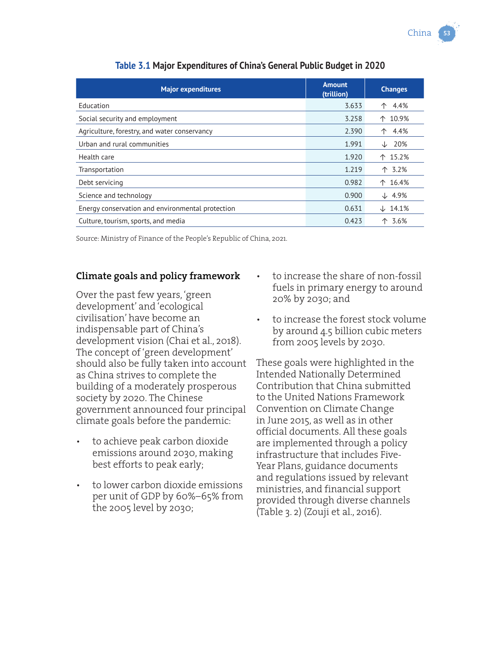| <b>Major expenditures</b>                        | <b>Amount</b><br>(trillion) | <b>Changes</b> |
|--------------------------------------------------|-----------------------------|----------------|
| Education                                        | 3.633                       | 4.4%<br>↑      |
| Social security and employment                   | 3.258                       | ↑ 10.9%        |
| Agriculture, forestry, and water conservancy     | 2.390                       | 4.4%           |
| Urban and rural communities                      | 1.991                       | 20%<br>◡       |
| Health care                                      | 1.920                       | ↑ 15.2%        |
| Transportation                                   | 1.219                       | 个 3.2%         |
| Debt servicing                                   | 0.982                       | ↑ 16.4%        |
| Science and technology                           | 0.900                       | $\times$ 4.9%  |
| Energy conservation and environmental protection | 0.631                       | $\times$ 14.1% |
| Culture, tourism, sports, and media              | 0.423                       | 3.6%<br>↑      |

# **Table 3.1 Major Expenditures of China's General Public Budget in 2020**

Source: Ministry of Finance of the People's Republic of China, 2021.

# **Climate goals and policy framework**

Over the past few years, 'green development' and 'ecological civilisation' have become an indispensable part of China's development vision (Chai et al., 2018). The concept of 'green development' should also be fully taken into account as China strives to complete the building of a moderately prosperous society by 2020. The Chinese government announced four principal climate goals before the pandemic:

- to achieve peak carbon dioxide emissions around 2030, making best efforts to peak early;
- to lower carbon dioxide emissions per unit of GDP by 60%–65% from the 2005 level by 2030;
- to increase the share of non-fossil fuels in primary energy to around 20% by 2030; and
- to increase the forest stock volume by around 4.5 billion cubic meters from 2005 levels by 2030.

These goals were highlighted in the Intended Nationally Determined Contribution that China submitted to the United Nations Framework Convention on Climate Change in June 2015, as well as in other official documents. All these goals are implemented through a policy infrastructure that includes Five-Year Plans, guidance documents and regulations issued by relevant ministries, and financial support provided through diverse channels (Table 3. 2) (Zouji et al., 2016).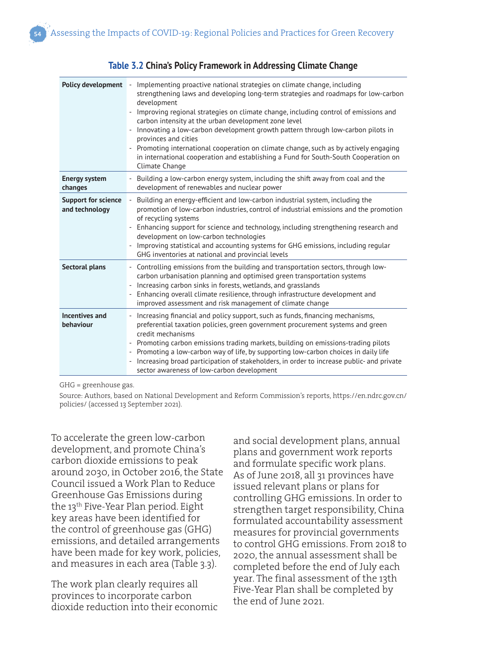| <b>Policy development</b>                    | Implementing proactive national strategies on climate change, including<br>$\sim$<br>strengthening laws and developing long-term strategies and roadmaps for low-carbon<br>development<br>Improving regional strategies on climate change, including control of emissions and<br>carbon intensity at the urban development zone level<br>Innovating a low-carbon development growth pattern through low-carbon pilots in<br>provinces and cities<br>Promoting international cooperation on climate change, such as by actively engaging<br>in international cooperation and establishing a Fund for South-South Cooperation on<br>Climate Change |  |
|----------------------------------------------|--------------------------------------------------------------------------------------------------------------------------------------------------------------------------------------------------------------------------------------------------------------------------------------------------------------------------------------------------------------------------------------------------------------------------------------------------------------------------------------------------------------------------------------------------------------------------------------------------------------------------------------------------|--|
| <b>Energy system</b><br>changes              | Building a low-carbon energy system, including the shift away from coal and the<br>$\overline{\phantom{a}}$<br>development of renewables and nuclear power                                                                                                                                                                                                                                                                                                                                                                                                                                                                                       |  |
| <b>Support for science</b><br>and technology | Building an energy-efficient and low-carbon industrial system, including the<br>promotion of low-carbon industries, control of industrial emissions and the promotion<br>of recycling systems<br>- Enhancing support for science and technology, including strengthening research and<br>development on low-carbon technologies<br>Improving statistical and accounting systems for GHG emissions, including regular<br>GHG inventories at national and provincial levels                                                                                                                                                                        |  |
| <b>Sectoral plans</b>                        | - Controlling emissions from the building and transportation sectors, through low-<br>carbon urbanisation planning and optimised green transportation systems<br>Increasing carbon sinks in forests, wetlands, and grasslands<br>Enhancing overall climate resilience, through infrastructure development and<br>improved assessment and risk management of climate change                                                                                                                                                                                                                                                                       |  |
| <b>Incentives and</b><br>behaviour           | - Increasing financial and policy support, such as funds, financing mechanisms,<br>preferential taxation policies, green government procurement systems and green<br>credit mechanisms<br>Promoting carbon emissions trading markets, building on emissions-trading pilots<br>- Promoting a low-carbon way of life, by supporting low-carbon choices in daily life<br>Increasing broad participation of stakeholders, in order to increase public- and private<br>sector awareness of low-carbon development                                                                                                                                     |  |

#### **Table 3.2 China's Policy Framework in Addressing Climate Change**

GHG = greenhouse gas.

Source: Authors, based on National Development and Reform Commission's reports, https://en.ndrc.gov.cn/ policies/ (accessed 13 September 2021).

To accelerate the green low-carbon development, and promote China's carbon dioxide emissions to peak around 2030, in October 2016, the State Council issued a Work Plan to Reduce Greenhouse Gas Emissions during the 13th Five-Year Plan period. Eight key areas have been identified for the control of greenhouse gas (GHG) emissions, and detailed arrangements have been made for key work, policies, and measures in each area (Table 3.3).

The work plan clearly requires all provinces to incorporate carbon dioxide reduction into their economic

and social development plans, annual plans and government work reports and formulate specific work plans. As of June 2018, all 31 provinces have issued relevant plans or plans for controlling GHG emissions. In order to strengthen target responsibility, China formulated accountability assessment measures for provincial governments to control GHG emissions. From 2018 to 2020, the annual assessment shall be completed before the end of July each year. The final assessment of the 13th Five-Year Plan shall be completed by the end of June 2021.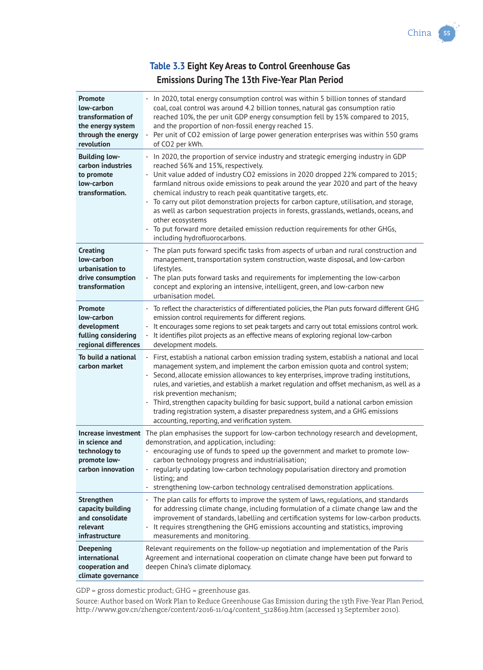

# **Table 3.3 Eight Key Areas to Control Greenhouse Gas Emissions During The 13th Five-Year Plan Period**

| <b>Promote</b><br>low-carbon<br>transformation of<br>the energy system<br>through the energy<br>revolution | - In 2020, total energy consumption control was within 5 billion tonnes of standard<br>coal, coal control was around 4.2 billion tonnes, natural gas consumption ratio<br>reached 10%, the per unit GDP energy consumption fell by 15% compared to 2015,<br>and the proportion of non-fossil energy reached 15.<br>Per unit of CO2 emission of large power generation enterprises was within 550 grams<br>of CO2 per kWh.                                                                                                                                                                                                                                                                         |
|------------------------------------------------------------------------------------------------------------|---------------------------------------------------------------------------------------------------------------------------------------------------------------------------------------------------------------------------------------------------------------------------------------------------------------------------------------------------------------------------------------------------------------------------------------------------------------------------------------------------------------------------------------------------------------------------------------------------------------------------------------------------------------------------------------------------|
| <b>Building low-</b><br>carbon industries<br>to promote<br>low-carbon<br>transformation.                   | - In 2020, the proportion of service industry and strategic emerging industry in GDP<br>reached 56% and 15%, respectively.<br>- Unit value added of industry CO2 emissions in 2020 dropped 22% compared to 2015;<br>farmland nitrous oxide emissions to peak around the year 2020 and part of the heavy<br>chemical industry to reach peak quantitative targets, etc.<br>- To carry out pilot demonstration projects for carbon capture, utilisation, and storage,<br>as well as carbon sequestration projects in forests, grasslands, wetlands, oceans, and<br>other ecosystems<br>To put forward more detailed emission reduction requirements for other GHGs,<br>including hydrofluorocarbons. |
| Creating<br>low-carbon<br>urbanisation to<br>drive consumption<br>transformation                           | - The plan puts forward specific tasks from aspects of urban and rural construction and<br>management, transportation system construction, waste disposal, and low-carbon<br>lifestyles.<br>- The plan puts forward tasks and requirements for implementing the low-carbon<br>concept and exploring an intensive, intelligent, green, and low-carbon new<br>urbanisation model.                                                                                                                                                                                                                                                                                                                   |
| <b>Promote</b><br>low-carbon<br>development<br>fulling considering<br>regional differences                 | - To reflect the characteristics of differentiated policies, the Plan puts forward different GHG<br>emission control requirements for different regions.<br>It encourages some regions to set peak targets and carry out total emissions control work.<br>It identifies pilot projects as an effective means of exploring regional low-carbon<br>development models.                                                                                                                                                                                                                                                                                                                              |
| To build a national<br>carbon market                                                                       | - First, establish a national carbon emission trading system, establish a national and local<br>management system, and implement the carbon emission quota and control system;<br>- Second, allocate emission allowances to key enterprises, improve trading institutions,<br>rules, and varieties, and establish a market regulation and offset mechanism, as well as a<br>risk prevention mechanism;<br>Third, strengthen capacity building for basic support, build a national carbon emission<br>trading registration system, a disaster preparedness system, and a GHG emissions<br>accounting, reporting, and verification system.                                                          |
| in science and<br>technology to<br>promote low-<br>carbon innovation                                       | <b>Increase investment</b> The plan emphasises the support for low-carbon technology research and development,<br>demonstration, and application, including:<br>- encouraging use of funds to speed up the government and market to promote low-<br>carbon technology progress and industrialisation;<br>- regularly updating low-carbon technology popularisation directory and promotion<br>listing; and<br>strengthening low-carbon technology centralised demonstration applications.                                                                                                                                                                                                         |
| <b>Strengthen</b><br>capacity building<br>and consolidate<br>relevant<br>infrastructure                    | The plan calls for efforts to improve the system of laws, regulations, and standards<br>for addressing climate change, including formulation of a climate change law and the<br>improvement of standards, labelling and certification systems for low-carbon products.<br>- It requires strengthening the GHG emissions accounting and statistics, improving<br>measurements and monitoring.                                                                                                                                                                                                                                                                                                      |
| Deepening<br>international<br>cooperation and<br>climate governance                                        | Relevant requirements on the follow-up negotiation and implementation of the Paris<br>Agreement and international cooperation on climate change have been put forward to<br>deepen China's climate diplomacy.                                                                                                                                                                                                                                                                                                                                                                                                                                                                                     |

GDP = gross domestic product; GHG = greenhouse gas.

Source: Author based on Work Plan to Reduce Greenhouse Gas Emission during the 13th Five-Year Plan Period, http://www.gov.cn/zhengce/content/2016-11/04/content\_5128619.htm (accessed 13 September 2010).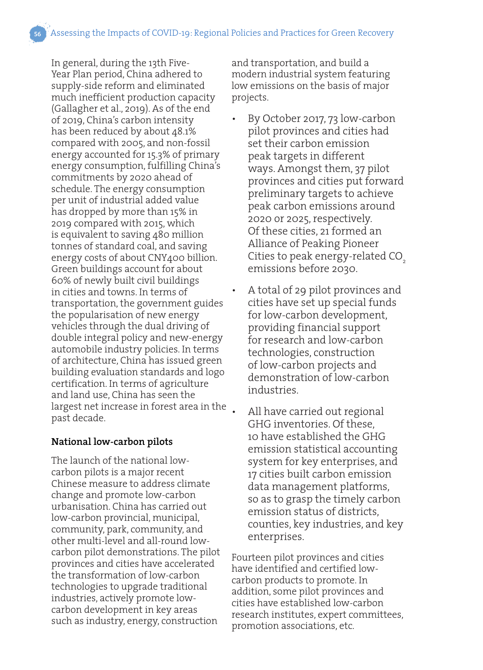Assessing the Impacts of COVID-19: Regional Policies and Practices for Green Recovery

In general, during the 13th Five-Year Plan period, China adhered to supply-side reform and eliminated much inefficient production capacity (Gallagher et al., 2019). As of the end of 2019, China's carbon intensity has been reduced by about 48.1% compared with 2005, and non-fossil energy accounted for 15.3% of primary energy consumption, fulfilling China's commitments by 2020 ahead of schedule. The energy consumption per unit of industrial added value has dropped by more than 15% in 2019 compared with 2015, which is equivalent to saving 480 million tonnes of standard coal, and saving energy costs of about CNY400 billion. Green buildings account for about 60% of newly built civil buildings in cities and towns. In terms of transportation, the government guides the popularisation of new energy vehicles through the dual driving of double integral policy and new-energy automobile industry policies. In terms of architecture, China has issued green building evaluation standards and logo certification. In terms of agriculture and land use, China has seen the largest net increase in forest area in the past decade.

#### **National low-carbon pilots**

The launch of the national lowcarbon pilots is a major recent Chinese measure to address climate change and promote low-carbon urbanisation. China has carried out low-carbon provincial, municipal, community, park, community, and other multi-level and all-round lowcarbon pilot demonstrations. The pilot provinces and cities have accelerated the transformation of low-carbon technologies to upgrade traditional industries, actively promote lowcarbon development in key areas such as industry, energy, construction

and transportation, and build a modern industrial system featuring low emissions on the basis of major projects.

- By October 2017, 73 low-carbon pilot provinces and cities had set their carbon emission peak targets in different ways. Amongst them, 37 pilot provinces and cities put forward preliminary targets to achieve peak carbon emissions around 2020 or 2025, respectively. Of these cities, 21 formed an Alliance of Peaking Pioneer Cities to peak energy-related CO<sub>2</sub> emissions before 2030.
- A total of 29 pilot provinces and cities have set up special funds for low-carbon development, providing financial support for research and low-carbon technologies, construction of low-carbon projects and demonstration of low-carbon industries.
	- All have carried out regional GHG inventories. Of these, 10 have established the GHG emission statistical accounting system for key enterprises, and 17 cities built carbon emission data management platforms, so as to grasp the timely carbon emission status of districts, counties, key industries, and key enterprises.

Fourteen pilot provinces and cities have identified and certified lowcarbon products to promote. In addition, some pilot provinces and cities have established low-carbon research institutes, expert committees, promotion associations, etc.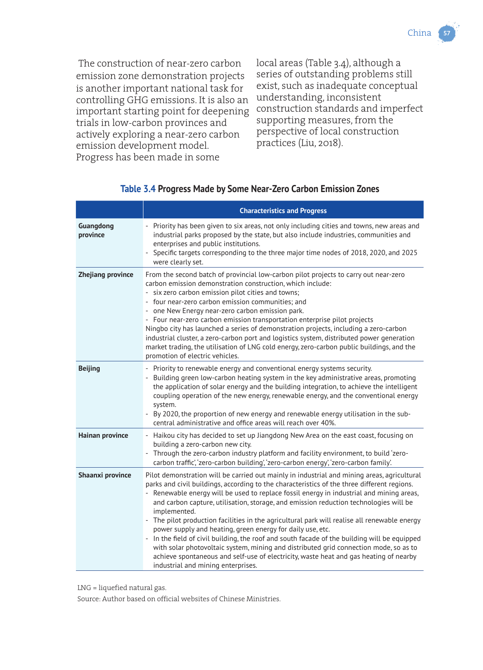The construction of near-zero carbon emission zone demonstration projects is another important national task for controlling GHG emissions. It is also an important starting point for deepening trials in low-carbon provinces and actively exploring a near-zero carbon emission development model. Progress has been made in some

local areas (Table 3.4), although a series of outstanding problems still exist, such as inadequate conceptual understanding, inconsistent construction standards and imperfect supporting measures, from the perspective of local construction practices (Liu, 2018).

|                          | <b>Characteristics and Progress</b>                                                                                                                                                                                                                                                                                                                                                                                                                                                                                                                                                                                                                                                                                                                                                                                                                                                   |  |
|--------------------------|---------------------------------------------------------------------------------------------------------------------------------------------------------------------------------------------------------------------------------------------------------------------------------------------------------------------------------------------------------------------------------------------------------------------------------------------------------------------------------------------------------------------------------------------------------------------------------------------------------------------------------------------------------------------------------------------------------------------------------------------------------------------------------------------------------------------------------------------------------------------------------------|--|
| Guangdong<br>province    | - Priority has been given to six areas, not only including cities and towns, new areas and<br>industrial parks proposed by the state, but also include industries, communities and<br>enterprises and public institutions.<br>- Specific targets corresponding to the three major time nodes of 2018, 2020, and 2025<br>were clearly set.                                                                                                                                                                                                                                                                                                                                                                                                                                                                                                                                             |  |
| <b>Zhejiang province</b> | From the second batch of provincial low-carbon pilot projects to carry out near-zero<br>carbon emission demonstration construction, which include:<br>- six zero carbon emission pilot cities and towns;<br>- four near-zero carbon emission communities; and<br>- one New Energy near-zero carbon emission park.<br>- Four near-zero carbon emission transportation enterprise pilot projects<br>Ningbo city has launched a series of demonstration projects, including a zero-carbon<br>industrial cluster, a zero-carbon port and logistics system, distributed power generation<br>market trading, the utilisation of LNG cold energy, zero-carbon public buildings, and the<br>promotion of electric vehicles.                                                                                                                                                                   |  |
| <b>Beijing</b>           | - Priority to renewable energy and conventional energy systems security.<br>Building green low-carbon heating system in the key administrative areas, promoting<br>the application of solar energy and the building integration, to achieve the intelligent<br>coupling operation of the new energy, renewable energy, and the conventional energy<br>system.<br>- By 2020, the proportion of new energy and renewable energy utilisation in the sub-<br>central administrative and office areas will reach over 40%.                                                                                                                                                                                                                                                                                                                                                                 |  |
| Hainan province          | - Haikou city has decided to set up Jiangdong New Area on the east coast, focusing on<br>building a zero-carbon new city.<br>Through the zero-carbon industry platform and facility environment, to build 'zero-<br>carbon traffic, 'zero-carbon building, 'zero-carbon energy, 'zero-carbon family'.                                                                                                                                                                                                                                                                                                                                                                                                                                                                                                                                                                                 |  |
| Shaanxi province         | Pilot demonstration will be carried out mainly in industrial and mining areas, agricultural<br>parks and civil buildings, according to the characteristics of the three different regions.<br>- Renewable energy will be used to replace fossil energy in industrial and mining areas,<br>and carbon capture, utilisation, storage, and emission reduction technologies will be<br>implemented.<br>- The pilot production facilities in the agricultural park will realise all renewable energy<br>power supply and heating, green energy for daily use, etc.<br>- In the field of civil building, the roof and south facade of the building will be equipped<br>with solar photovoltaic system, mining and distributed grid connection mode, so as to<br>achieve spontaneous and self-use of electricity, waste heat and gas heating of nearby<br>industrial and mining enterprises. |  |

#### **Table 3.4 Progress Made by Some Near-Zero Carbon Emission Zones**

LNG = liquefied natural gas.

Source: Author based on official websites of Chinese Ministries.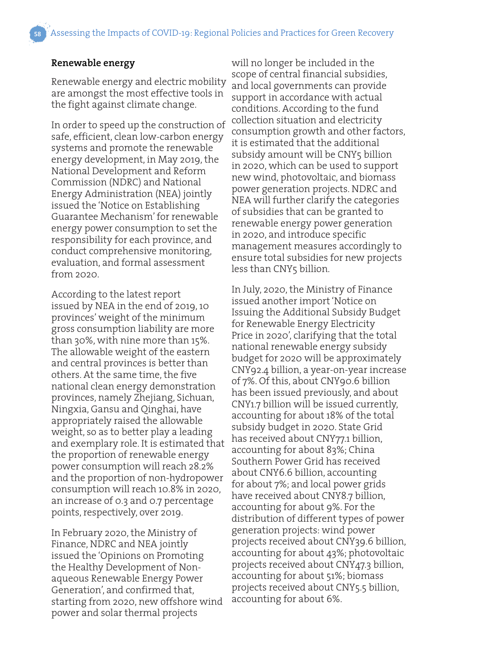#### **Renewable energy**

Renewable energy and electric mobility are amongst the most effective tools in the fight against climate change.

In order to speed up the construction of safe, efficient, clean low-carbon energy systems and promote the renewable energy development, in May 2019, the National Development and Reform Commission (NDRC) and National Energy Administration (NEA) jointly issued the 'Notice on Establishing Guarantee Mechanism' for renewable energy power consumption to set the responsibility for each province, and conduct comprehensive monitoring, evaluation, and formal assessment from 2020.

According to the latest report issued by NEA in the end of 2019, 10 provinces' weight of the minimum gross consumption liability are more than 30%, with nine more than 15%. The allowable weight of the eastern and central provinces is better than others. At the same time, the five national clean energy demonstration provinces, namely Zhejiang, Sichuan, Ningxia, Gansu and Qinghai, have appropriately raised the allowable weight, so as to better play a leading and exemplary role. It is estimated that the proportion of renewable energy power consumption will reach 28.2% and the proportion of non-hydropower consumption will reach 10.8% in 2020, an increase of 0.3 and 0.7 percentage points, respectively, over 2019.

In February 2020, the Ministry of Finance, NDRC and NEA jointly issued the 'Opinions on Promoting the Healthy Development of Nonaqueous Renewable Energy Power Generation', and confirmed that, starting from 2020, new offshore wind power and solar thermal projects

will no longer be included in the scope of central financial subsidies, and local governments can provide support in accordance with actual conditions. According to the fund collection situation and electricity consumption growth and other factors, it is estimated that the additional subsidy amount will be CNY5 billion in 2020, which can be used to support new wind, photovoltaic, and biomass power generation projects. NDRC and NEA will further clarify the categories of subsidies that can be granted to renewable energy power generation in 2020, and introduce specific management measures accordingly to ensure total subsidies for new projects less than CNY5 billion.

In July, 2020, the Ministry of Finance issued another import 'Notice on Issuing the Additional Subsidy Budget for Renewable Energy Electricity Price in 2020', clarifying that the total national renewable energy subsidy budget for 2020 will be approximately CNY92.4 billion, a year-on-year increase of 7%. Of this, about CNY90.6 billion has been issued previously, and about CNY1.7 billion will be issued currently, accounting for about 18% of the total subsidy budget in 2020. State Grid has received about CNY77.1 billion, accounting for about 83%; China Southern Power Grid has received about CNY6.6 billion, accounting for about 7%; and local power grids have received about CNY8.7 billion, accounting for about 9%. For the distribution of different types of power generation projects: wind power projects received about CNY39.6 billion, accounting for about 43%; photovoltaic projects received about CNY47.3 billion, accounting for about 51%; biomass projects received about CNY5.5 billion, accounting for about 6%.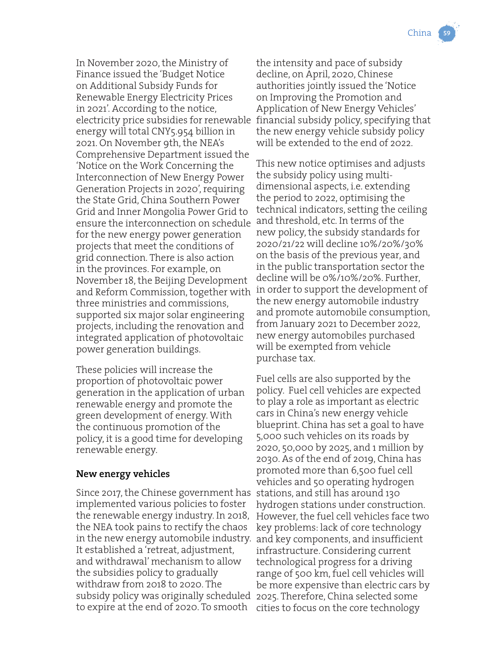China

In November 2020, the Ministry of Finance issued the 'Budget Notice on Additional Subsidy Funds for Renewable Energy Electricity Prices in 2021'. According to the notice, electricity price subsidies for renewable financial subsidy policy, specifying that energy will total CNY5.954 billion in 2021. On November 9th, the NEA's Comprehensive Department issued the 'Notice on the Work Concerning the Interconnection of New Energy Power Generation Projects in 2020', requiring the State Grid, China Southern Power Grid and Inner Mongolia Power Grid to ensure the interconnection on schedule for the new energy power generation projects that meet the conditions of grid connection. There is also action in the provinces. For example, on November 18, the Beijing Development and Reform Commission, together with three ministries and commissions, supported six major solar engineering projects, including the renovation and integrated application of photovoltaic power generation buildings.

These policies will increase the proportion of photovoltaic power generation in the application of urban renewable energy and promote the green development of energy. With the continuous promotion of the policy, it is a good time for developing renewable energy.

#### **New energy vehicles**

Since 2017, the Chinese government has stations, and still has around 130 implemented various policies to foster the renewable energy industry. In 2018, the NEA took pains to rectify the chaos in the new energy automobile industry. and key components, and insufficient It established a 'retreat, adjustment, and withdrawal' mechanism to allow the subsidies policy to gradually withdraw from 2018 to 2020. The subsidy policy was originally scheduled to expire at the end of 2020. To smooth

the intensity and pace of subsidy decline, on April, 2020, Chinese authorities jointly issued the 'Notice on Improving the Promotion and Application of New Energy Vehicles' the new energy vehicle subsidy policy will be extended to the end of 2022.

This new notice optimises and adjusts the subsidy policy using multidimensional aspects, i.e. extending the period to 2022, optimising the technical indicators, setting the ceiling and threshold, etc. In terms of the new policy, the subsidy standards for 2020/21/22 will decline 10%/20%/30% on the basis of the previous year, and in the public transportation sector the decline will be 0%/10%/20%. Further, in order to support the development of the new energy automobile industry and promote automobile consumption, from January 2021 to December 2022, new energy automobiles purchased will be exempted from vehicle purchase tax.

Fuel cells are also supported by the policy. Fuel cell vehicles are expected to play a role as important as electric cars in China's new energy vehicle blueprint. China has set a goal to have 5,000 such vehicles on its roads by 2020, 50,000 by 2025, and 1 million by 2030. As of the end of 2019, China has promoted more than 6,500 fuel cell vehicles and 50 operating hydrogen hydrogen stations under construction. However, the fuel cell vehicles face two key problems: lack of core technology infrastructure. Considering current technological progress for a driving range of 500 km, fuel cell vehicles will be more expensive than electric cars by 2025. Therefore, China selected some cities to focus on the core technology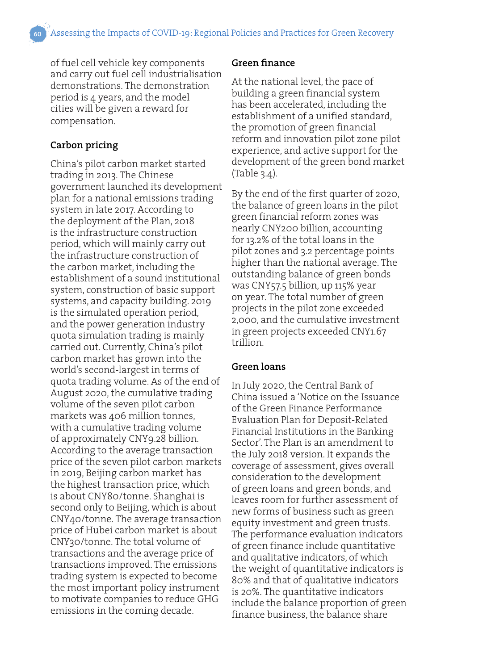of fuel cell vehicle key components and carry out fuel cell industrialisation demonstrations. The demonstration period is 4 years, and the model cities will be given a reward for compensation.

# **Carbon pricing**

China's pilot carbon market started trading in 2013. The Chinese government launched its development plan for a national emissions trading system in late 2017. According to the deployment of the Plan, 2018 is the infrastructure construction period, which will mainly carry out the infrastructure construction of the carbon market, including the establishment of a sound institutional system, construction of basic support systems, and capacity building. 2019 is the simulated operation period, and the power generation industry quota simulation trading is mainly carried out. Currently, China's pilot carbon market has grown into the world's second-largest in terms of quota trading volume. As of the end of August 2020, the cumulative trading volume of the seven pilot carbon markets was 406 million tonnes, with a cumulative trading volume of approximately CNY9.28 billion. According to the average transaction price of the seven pilot carbon markets in 2019, Beijing carbon market has the highest transaction price, which is about CNY80/tonne. Shanghai is second only to Beijing, which is about CNY40/tonne. The average transaction price of Hubei carbon market is about CNY30/tonne. The total volume of transactions and the average price of transactions improved. The emissions trading system is expected to become the most important policy instrument to motivate companies to reduce GHG emissions in the coming decade.

#### **Green finance**

At the national level, the pace of building a green financial system has been accelerated, including the establishment of a unified standard, the promotion of green financial reform and innovation pilot zone pilot experience, and active support for the development of the green bond market (Table 3.4).

By the end of the first quarter of 2020, the balance of green loans in the pilot green financial reform zones was nearly CNY200 billion, accounting for 13.2% of the total loans in the pilot zones and 3.2 percentage points higher than the national average. The outstanding balance of green bonds was CNY57.5 billion, up 115% year on year. The total number of green projects in the pilot zone exceeded 2,000, and the cumulative investment in green projects exceeded CNY1.67 trillion.

#### **Green loans**

In July 2020, the Central Bank of China issued a 'Notice on the Issuance of the Green Finance Performance Evaluation Plan for Deposit-Related Financial Institutions in the Banking Sector'. The Plan is an amendment to the July 2018 version. It expands the coverage of assessment, gives overall consideration to the development of green loans and green bonds, and leaves room for further assessment of new forms of business such as green equity investment and green trusts. The performance evaluation indicators of green finance include quantitative and qualitative indicators, of which the weight of quantitative indicators is 80% and that of qualitative indicators is 20%. The quantitative indicators include the balance proportion of green finance business, the balance share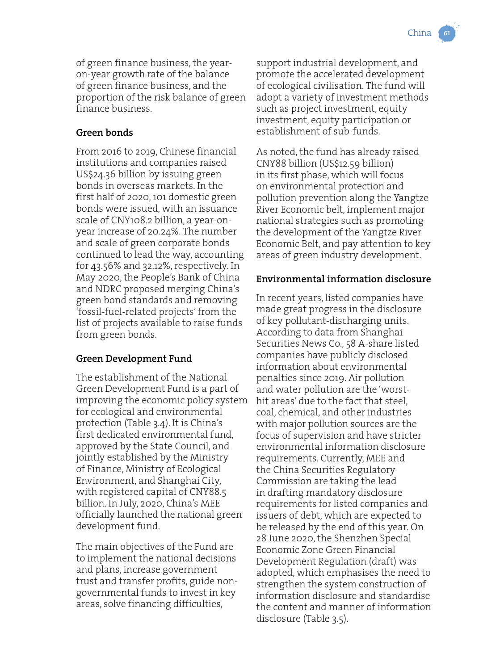of green finance business, the yearon-year growth rate of the balance of green finance business, and the proportion of the risk balance of green finance business.

### **Green bonds**

From 2016 to 2019, Chinese financial institutions and companies raised US\$24.36 billion by issuing green bonds in overseas markets. In the first half of 2020, 101 domestic green bonds were issued, with an issuance scale of CNY108.2 billion, a year-onyear increase of 20.24%. The number and scale of green corporate bonds continued to lead the way, accounting for 43.56% and 32.12%, respectively. In May 2020, the People's Bank of China and NDRC proposed merging China's green bond standards and removing 'fossil-fuel-related projects' from the list of projects available to raise funds from green bonds.

# **Green Development Fund**

The establishment of the National Green Development Fund is a part of improving the economic policy system for ecological and environmental protection (Table 3.4). It is China's first dedicated environmental fund, approved by the State Council, and jointly established by the Ministry of Finance, Ministry of Ecological Environment, and Shanghai City, with registered capital of CNY88.5 billion. In July, 2020, China's MEE officially launched the national green development fund.

The main objectives of the Fund are to implement the national decisions and plans, increase government trust and transfer profits, guide nongovernmental funds to invest in key areas, solve financing difficulties,

support industrial development, and promote the accelerated development of ecological civilisation. The fund will adopt a variety of investment methods such as project investment, equity investment, equity participation or establishment of sub-funds.

As noted, the fund has already raised CNY88 billion (US\$12.59 billion) in its first phase, which will focus on environmental protection and pollution prevention along the Yangtze River Economic belt, implement major national strategies such as promoting the development of the Yangtze River Economic Belt, and pay attention to key areas of green industry development.

#### **Environmental information disclosure**

In recent years, listed companies have made great progress in the disclosure of key pollutant-discharging units. According to data from Shanghai Securities News Co., 58 A-share listed companies have publicly disclosed information about environmental penalties since 2019. Air pollution and water pollution are the 'worsthit areas' due to the fact that steel, coal, chemical, and other industries with major pollution sources are the focus of supervision and have stricter environmental information disclosure requirements. Currently, MEE and the China Securities Regulatory Commission are taking the lead in drafting mandatory disclosure requirements for listed companies and issuers of debt, which are expected to be released by the end of this year. On 28 June 2020, the Shenzhen Special Economic Zone Green Financial Development Regulation (draft) was adopted, which emphasises the need to strengthen the system construction of information disclosure and standardise the content and manner of information disclosure (Table 3.5).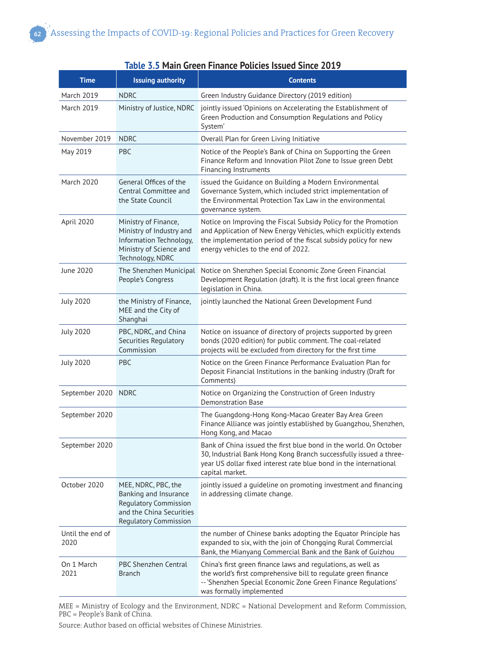| <b>Time</b>              | <b>Issuing authority</b>                                                                                                          | <b>Contents</b>                                                                                                                                                                                                                              |
|--------------------------|-----------------------------------------------------------------------------------------------------------------------------------|----------------------------------------------------------------------------------------------------------------------------------------------------------------------------------------------------------------------------------------------|
| <b>March 2019</b>        | <b>NDRC</b>                                                                                                                       | Green Industry Guidance Directory (2019 edition)                                                                                                                                                                                             |
| <b>March 2019</b>        | Ministry of Justice, NDRC                                                                                                         | jointly issued 'Opinions on Accelerating the Establishment of<br>Green Production and Consumption Regulations and Policy<br>System'                                                                                                          |
| November 2019            | <b>NDRC</b>                                                                                                                       | Overall Plan for Green Living Initiative                                                                                                                                                                                                     |
| May 2019                 | <b>PBC</b>                                                                                                                        | Notice of the People's Bank of China on Supporting the Green<br>Finance Reform and Innovation Pilot Zone to Issue green Debt<br><b>Financing Instruments</b>                                                                                 |
| <b>March 2020</b>        | General Offices of the<br>Central Committee and<br>the State Council                                                              | issued the Guidance on Building a Modern Environmental<br>Governance System, which included strict implementation of<br>the Environmental Protection Tax Law in the environmental<br>governance system.                                      |
| April 2020               | Ministry of Finance,<br>Ministry of Industry and<br>Information Technology,<br>Ministry of Science and<br>Technology, NDRC        | Notice on Improving the Fiscal Subsidy Policy for the Promotion<br>and Application of New Energy Vehicles, which explicitly extends<br>the implementation period of the fiscal subsidy policy for new<br>energy vehicles to the end of 2022. |
| June 2020                | The Shenzhen Municipal<br>People's Congress                                                                                       | Notice on Shenzhen Special Economic Zone Green Financial<br>Development Regulation (draft). It is the first local green finance<br>legislation in China.                                                                                     |
| <b>July 2020</b>         | the Ministry of Finance,<br>MEE and the City of<br>Shanghai                                                                       | jointly launched the National Green Development Fund                                                                                                                                                                                         |
| <b>July 2020</b>         | PBC, NDRC, and China<br>Securities Regulatory<br>Commission                                                                       | Notice on issuance of directory of projects supported by green<br>bonds (2020 edition) for public comment. The coal-related<br>projects will be excluded from directory for the first time                                                   |
| <b>July 2020</b>         | <b>PBC</b>                                                                                                                        | Notice on the Green Finance Performance Evaluation Plan for<br>Deposit Financial Institutions in the banking industry (Draft for<br>Comments)                                                                                                |
| September 2020           | <b>NDRC</b>                                                                                                                       | Notice on Organizing the Construction of Green Industry<br><b>Demonstration Base</b>                                                                                                                                                         |
| September 2020           |                                                                                                                                   | The Guangdong-Hong Kong-Macao Greater Bay Area Green<br>Finance Alliance was jointly established by Guangzhou, Shenzhen,<br>Hong Kong, and Macao                                                                                             |
| September 2020           |                                                                                                                                   | Bank of China issued the first blue bond in the world. On October<br>30, Industrial Bank Hong Kong Branch successfully issued a three-<br>year US dollar fixed interest rate blue bond in the international<br>capital market.               |
| October 2020             | MEE, NDRC, PBC, the<br>Banking and Insurance<br><b>Regulatory Commission</b><br>and the China Securities<br>Regulatory Commission | jointly issued a guideline on promoting investment and financing<br>in addressing climate change.                                                                                                                                            |
| Until the end of<br>2020 |                                                                                                                                   | the number of Chinese banks adopting the Equator Principle has<br>expanded to six, with the join of Chongqing Rural Commercial<br>Bank, the Mianyang Commercial Bank and the Bank of Guizhou                                                 |
| On 1 March<br>2021       | PBC Shenzhen Central<br>Branch                                                                                                    | China's first green finance laws and regulations, as well as<br>the world's first comprehensive bill to regulate green finance<br>-- 'Shenzhen Special Economic Zone Green Finance Regulations'<br>was formally implemented                  |

#### **Table 3.5 Main Green Finance Policies Issued Since 2019**

MEE = Ministry of Ecology and the Environment, NDRC = National Development and Reform Commission, PBC = People's Bank of China.

Source: Author based on official websites of Chinese Ministries.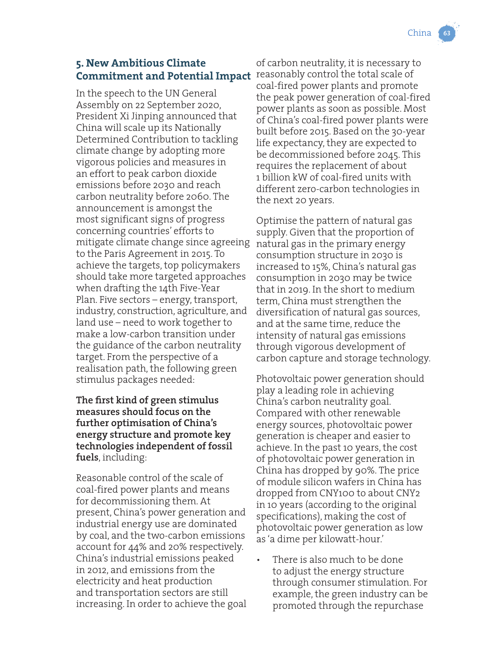# **5. New Ambitious Climate Commitment and Potential Impact**

In the speech to the UN General Assembly on 22 September 2020, President Xi Jinping announced that China will scale up its Nationally Determined Contribution to tackling climate change by adopting more vigorous policies and measures in an effort to peak carbon dioxide emissions before 2030 and reach carbon neutrality before 2060. The announcement is amongst the most significant signs of progress concerning countries' efforts to mitigate climate change since agreeing to the Paris Agreement in 2015. To achieve the targets, top policymakers should take more targeted approaches when drafting the 14th Five-Year Plan. Five sectors – energy, transport, industry, construction, agriculture, and land use – need to work together to make a low-carbon transition under the guidance of the carbon neutrality target. From the perspective of a realisation path, the following green stimulus packages needed:

#### **The first kind of green stimulus measures should focus on the further optimisation of China's energy structure and promote key technologies independent of fossil fuels**, including:

Reasonable control of the scale of coal-fired power plants and means for decommissioning them. At present, China's power generation and industrial energy use are dominated by coal, and the two-carbon emissions account for 44% and 20% respectively. China's industrial emissions peaked in 2012, and emissions from the electricity and heat production and transportation sectors are still increasing. In order to achieve the goal of carbon neutrality, it is necessary to reasonably control the total scale of coal-fired power plants and promote the peak power generation of coal-fired power plants as soon as possible. Most of China's coal-fired power plants were built before 2015. Based on the 30-year life expectancy, they are expected to be decommissioned before 2045. This requires the replacement of about 1 billion kW of coal-fired units with different zero-carbon technologies in the next 20 years.

Optimise the pattern of natural gas supply. Given that the proportion of natural gas in the primary energy consumption structure in 2030 is increased to 15%, China's natural gas consumption in 2030 may be twice that in 2019. In the short to medium term, China must strengthen the diversification of natural gas sources, and at the same time, reduce the intensity of natural gas emissions through vigorous development of carbon capture and storage technology.

Photovoltaic power generation should play a leading role in achieving China's carbon neutrality goal. Compared with other renewable energy sources, photovoltaic power generation is cheaper and easier to achieve. In the past 10 years, the cost of photovoltaic power generation in China has dropped by 90%. The price of module silicon wafers in China has dropped from CNY100 to about CNY2 in 10 years (according to the original specifications), making the cost of photovoltaic power generation as low as 'a dime per kilowatt-hour.'

• There is also much to be done to adjust the energy structure through consumer stimulation. For example, the green industry can be promoted through the repurchase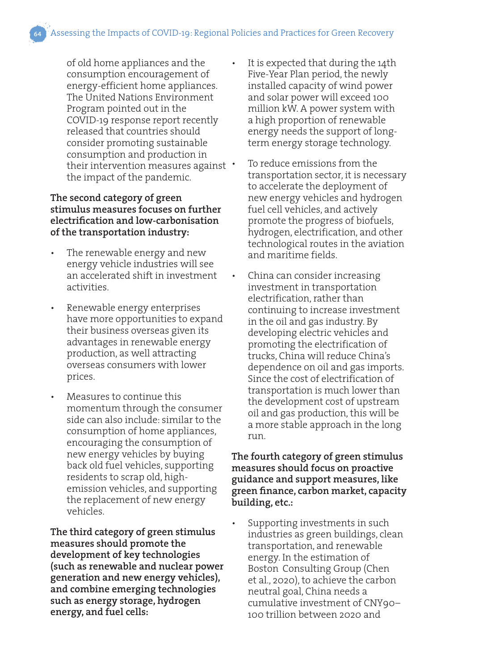Assessing the Impacts of COVID-19: Regional Policies and Practices for Green Recovery

of old home appliances and the consumption encouragement of energy-efficient home appliances. The United Nations Environment Program pointed out in the COVID-19 response report recently released that countries should consider promoting sustainable consumption and production in their intervention measures against the impact of the pandemic.

#### **The second category of green stimulus measures focuses on further electrification and low-carbonisation of the transportation industry:**

- The renewable energy and new energy vehicle industries will see an accelerated shift in investment activities.
- Renewable energy enterprises have more opportunities to expand their business overseas given its advantages in renewable energy production, as well attracting overseas consumers with lower prices.
- Measures to continue this momentum through the consumer side can also include: similar to the consumption of home appliances, encouraging the consumption of new energy vehicles by buying back old fuel vehicles, supporting residents to scrap old, highemission vehicles, and supporting the replacement of new energy vehicles.

**The third category of green stimulus measures should promote the development of key technologies (such as renewable and nuclear power generation and new energy vehicles), and combine emerging technologies such as energy storage, hydrogen energy, and fuel cells:**

- It is expected that during the 14th Five-Year Plan period, the newly installed capacity of wind power and solar power will exceed 100 million kW. A power system with a high proportion of renewable energy needs the support of longterm energy storage technology.
- To reduce emissions from the transportation sector, it is necessary to accelerate the deployment of new energy vehicles and hydrogen fuel cell vehicles, and actively promote the progress of biofuels, hydrogen, electrification, and other technological routes in the aviation and maritime fields.
- China can consider increasing investment in transportation electrification, rather than continuing to increase investment in the oil and gas industry. By developing electric vehicles and promoting the electrification of trucks, China will reduce China's dependence on oil and gas imports. Since the cost of electrification of transportation is much lower than the development cost of upstream oil and gas production, this will be a more stable approach in the long run.

**The fourth category of green stimulus measures should focus on proactive guidance and support measures, like green finance, carbon market, capacity building, etc.:**

Supporting investments in such industries as green buildings, clean transportation, and renewable energy. In the estimation of Boston Consulting Group (Chen et al., 2020), to achieve the carbon neutral goal, China needs a cumulative investment of CNY90– 100 trillion between 2020 and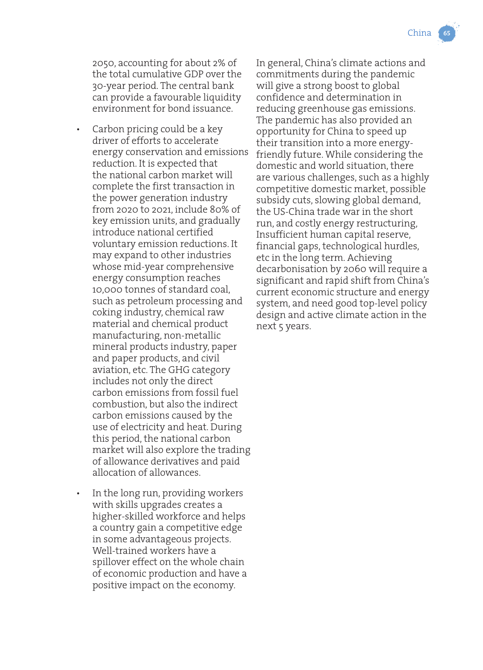2050, accounting for about 2% of the total cumulative GDP over the 30-year period. The central bank can provide a favourable liquidity environment for bond issuance.

- Carbon pricing could be a key driver of efforts to accelerate energy conservation and emissions reduction. It is expected that the national carbon market will complete the first transaction in the power generation industry from 2020 to 2021, include 80% of key emission units, and gradually introduce national certified voluntary emission reductions. It may expand to other industries whose mid-year comprehensive energy consumption reaches 10,000 tonnes of standard coal, such as petroleum processing and coking industry, chemical raw material and chemical product manufacturing, non-metallic mineral products industry, paper and paper products, and civil aviation, etc. The GHG category includes not only the direct carbon emissions from fossil fuel combustion, but also the indirect carbon emissions caused by the use of electricity and heat. During this period, the national carbon market will also explore the trading of allowance derivatives and paid allocation of allowances.
- In the long run, providing workers with skills upgrades creates a higher-skilled workforce and helps a country gain a competitive edge in some advantageous projects. Well-trained workers have a spillover effect on the whole chain of economic production and have a positive impact on the economy.

In general, China's climate actions and commitments during the pandemic will give a strong boost to global confidence and determination in reducing greenhouse gas emissions. The pandemic has also provided an opportunity for China to speed up their transition into a more energyfriendly future. While considering the domestic and world situation, there are various challenges, such as a highly competitive domestic market, possible subsidy cuts, slowing global demand, the US-China trade war in the short run, and costly energy restructuring, Insufficient human capital reserve, financial gaps, technological hurdles, etc in the long term. Achieving decarbonisation by 2060 will require a significant and rapid shift from China's current economic structure and energy system, and need good top-level policy design and active climate action in the next 5 years.